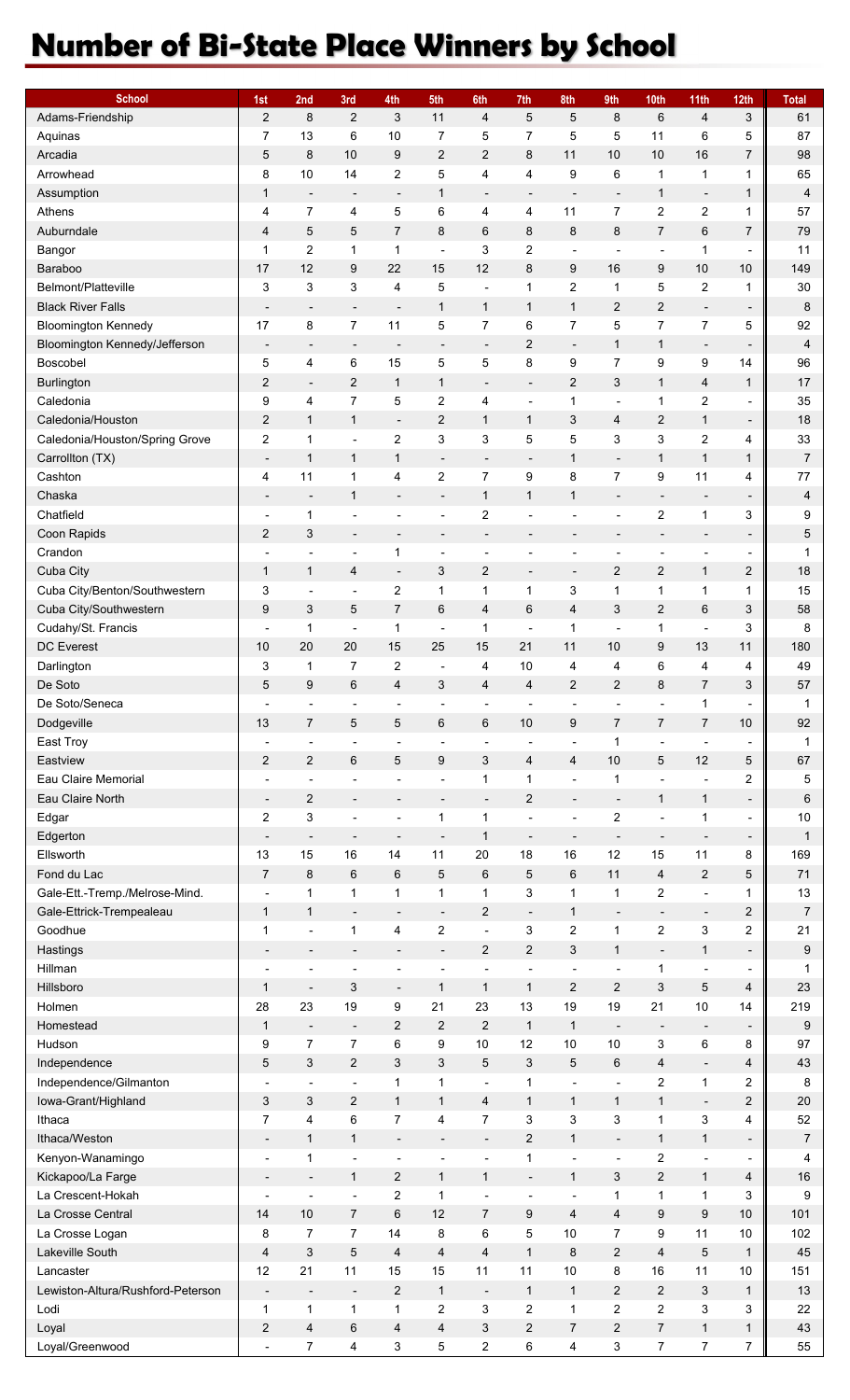## **Number of Bi-State Place Winners by School**

| <b>School</b>                     | 1st                      | 2nd                      | 3rd                       | 4th                                          | 5th                          | 6th                      | 7th                      | 8th                      | 9th                          | 10th                         | 11th                     | 12 <sub>th</sub>             | <b>Total</b>    |
|-----------------------------------|--------------------------|--------------------------|---------------------------|----------------------------------------------|------------------------------|--------------------------|--------------------------|--------------------------|------------------------------|------------------------------|--------------------------|------------------------------|-----------------|
| Adams-Friendship                  | $\overline{2}$           | 8                        | 2                         | 3                                            | 11                           | 4                        | 5                        | 5                        | 8                            | $6\phantom{1}6$              | $\overline{4}$           | $\ensuremath{\mathsf{3}}$    | 61              |
| Aquinas                           | 7                        | 13                       | 6                         | 10                                           | 7                            | 5                        | 7                        | 5                        | 5                            | 11                           | 6                        | 5                            | 87              |
| Arcadia                           | 5                        | 8                        | 10                        | 9                                            | $\overline{c}$               | $\overline{2}$           | 8                        | 11                       | 10                           | 10                           | 16                       | 7                            | 98              |
| Arrowhead                         | 8                        | $10$                     | 14                        | 2                                            | 5                            | 4                        | 4                        | 9                        | 6                            | $\mathbf{1}$                 | 1                        | 1                            | 65              |
| Assumption                        | $\mathbf{1}$             | $\overline{\phantom{a}}$ | $\overline{\phantom{a}}$  | $\overline{\phantom{a}}$                     | 1                            | $\overline{\phantom{a}}$ |                          | $\overline{\phantom{a}}$ | $\qquad \qquad \blacksquare$ | 1                            | $\overline{\phantom{a}}$ | 1                            | $\overline{4}$  |
| Athens                            | 4                        | $\boldsymbol{7}$         | 4                         | $\mathbf 5$                                  | 6                            | 4                        | 4                        | 11                       | $\overline{7}$               | $\overline{c}$               | $\overline{c}$           | 1                            | 57              |
| Auburndale                        | $\overline{4}$           | 5                        | 5                         | $\overline{7}$                               | 8                            | 6                        | 8                        | 8                        | 8                            | 7                            | $\,6$                    | 7                            | 79              |
| Bangor                            | $\mathbf{1}$             | $\overline{\mathbf{c}}$  | $\mathbf{1}$              | $\mathbf{1}$                                 | $\blacksquare$               | 3                        | $\overline{c}$           | $\overline{\phantom{a}}$ | ÷,                           | $\blacksquare$               | $\mathbf{1}$             | $\overline{a}$               | 11              |
| Baraboo                           | 17                       | 12                       | 9                         | 22                                           | 15                           | 12                       | 8                        | 9                        | 16                           | 9                            | 10                       | 10                           | 149             |
| Belmont/Platteville               | 3                        | 3                        | $\ensuremath{\mathsf{3}}$ | 4                                            | 5                            | ÷,                       | 1                        | $\overline{\mathbf{c}}$  | $\mathbf{1}$                 | 5                            | $\boldsymbol{2}$         | 1                            | 30              |
| <b>Black River Falls</b>          |                          | $\overline{a}$           | $\overline{\phantom{a}}$  | $\overline{\phantom{a}}$                     | $\mathbf{1}$                 | $\mathbf{1}$             | $\mathbf{1}$             | $\mathbf{1}$             | $\overline{c}$               | $\overline{c}$               | $\overline{\phantom{a}}$ | $\overline{\phantom{a}}$     | 8               |
| <b>Bloomington Kennedy</b>        | 17                       | 8                        | $\boldsymbol{7}$          | 11                                           | 5                            | $\overline{7}$           | 6                        | $\overline{7}$           | 5                            | $\overline{7}$               | $\boldsymbol{7}$         | 5                            | 92              |
| Bloomington Kennedy/Jefferson     | $\overline{\phantom{a}}$ | $\overline{a}$           | $\overline{\phantom{a}}$  | $\overline{a}$                               | $\overline{\phantom{m}}$     | $\overline{\phantom{a}}$ | $\overline{2}$           | $\overline{\phantom{a}}$ | $\mathbf{1}$                 | $\mathbf{1}$                 | $\overline{\phantom{a}}$ | $\qquad \qquad \blacksquare$ | 4               |
| Boscobel                          | 5                        | 4                        | 6                         | 15                                           | 5                            | 5                        | 8                        | 9                        | $\overline{7}$               | 9                            | 9                        | 14                           | 96              |
| Burlington                        | $\overline{c}$           | $\overline{\phantom{a}}$ | $\overline{c}$            | $\mathbf{1}$                                 | $\mathbf{1}$                 | $\overline{\phantom{a}}$ | $\overline{\phantom{m}}$ | $\overline{2}$           | 3                            | $\mathbf{1}$                 | 4                        | $\mathbf{1}$                 | 17              |
| Caledonia                         | 9                        | 4                        | $\overline{7}$            | 5                                            | $\overline{c}$               | 4                        | $\overline{\phantom{0}}$ | 1                        | ÷,                           | 1                            | $\boldsymbol{2}$         | $\overline{\phantom{a}}$     | 35              |
| Caledonia/Houston                 | $\sqrt{2}$               | $\mathbf{1}$             |                           |                                              | $\mathbf{2}$                 | $\mathbf{1}$             | $\mathbf{1}$             | 3                        | 4                            | $\overline{2}$               | $\mathbf{1}$             |                              | 18              |
| Caledonia/Houston/Spring Grove    | $\boldsymbol{2}$         | 1                        | 1                         | $\overline{\phantom{a}}$<br>$\boldsymbol{2}$ | 3                            | 3                        | 5                        | 5                        | $\ensuremath{\mathsf{3}}$    | 3                            |                          | -<br>4                       | 33              |
|                                   |                          |                          | $\overline{\phantom{a}}$  |                                              |                              |                          |                          |                          |                              |                              | 2                        |                              |                 |
| Carrollton (TX)                   | $\overline{\phantom{a}}$ | 1                        | $\mathbf{1}$              | $\mathbf{1}$                                 | $\overline{\phantom{a}}$     | $\overline{\phantom{a}}$ | $\overline{\phantom{a}}$ | 1                        | $\overline{a}$               | $\mathbf{1}$                 | $\mathbf 1$              | $\mathbf{1}$                 | $\overline{7}$  |
| Cashton                           | 4                        | 11                       | 1                         | 4                                            | $\overline{\mathbf{c}}$      | $\overline{7}$           | 9                        | 8                        | $\overline{7}$               | 9                            | 11                       | 4                            | 77              |
| Chaska                            | $\overline{\phantom{a}}$ | $\overline{\phantom{a}}$ | $\mathbf{1}$              | $\overline{\phantom{a}}$                     | $\overline{\phantom{a}}$     | $\mathbf{1}$             | $\mathbf{1}$             | 1                        | $\overline{a}$               | $\overline{\phantom{a}}$     | $\overline{\phantom{a}}$ | $\overline{\phantom{a}}$     | 4               |
| Chatfield                         |                          | 1                        | $\overline{\phantom{a}}$  |                                              | $\overline{a}$               | $\overline{c}$           |                          | ä,                       | $\overline{a}$               | $\boldsymbol{2}$             | 1                        | 3                            | 9               |
| Coon Rapids                       | $\overline{c}$           | 3                        | $\overline{\phantom{a}}$  | $\overline{\phantom{a}}$                     | $\qquad \qquad \blacksquare$ | $\overline{\phantom{a}}$ | $\overline{\phantom{a}}$ | -                        | $\overline{\phantom{m}}$     |                              | $\overline{\phantom{a}}$ | $\overline{\phantom{a}}$     | 5               |
| Crandon                           |                          |                          | $\overline{a}$            | $\mathbf 1$                                  | ÷                            | ٠                        | $\overline{a}$           | $\overline{a}$           | $\overline{a}$               | $\overline{a}$               | $\overline{a}$           | $\overline{\phantom{a}}$     | $\mathbf{1}$    |
| Cuba City                         | $\mathbf{1}$             | $\mathbf{1}$             | 4                         | $\overline{\phantom{a}}$                     | 3                            | $\overline{c}$           | $\frac{1}{2}$            | $\overline{\phantom{a}}$ | $\sqrt{2}$                   | $\overline{c}$               | $\mathbf{1}$             | 2                            | 18              |
| Cuba City/Benton/Southwestern     | 3                        | $\blacksquare$           | $\overline{\phantom{a}}$  | $\boldsymbol{2}$                             | 1                            | 1                        | 1                        | 3                        | $\mathbf{1}$                 | 1                            | 1                        | 1                            | 15              |
| Cuba City/Southwestern            | 9                        | 3                        | 5                         | $\overline{7}$                               | 6                            | 4                        | 6                        | $\overline{4}$           | 3                            | $\overline{c}$               | 6                        | 3                            | 58              |
| Cudahy/St. Francis                |                          | 1                        | $\blacksquare$            | $\mathbf{1}$                                 | ÷,                           | 1                        | ä,                       | 1                        | ÷,                           | $\mathbf{1}$                 | ÷,                       | 3                            | 8               |
| <b>DC</b> Everest                 | 10                       | 20                       | 20                        | 15                                           | 25                           | 15                       | 21                       | 11                       | 10                           | 9                            | 13                       | 11                           | 180             |
| Darlington                        | 3                        | $\mathbf 1$              | 7                         | 2                                            | $\overline{\phantom{a}}$     | 4                        | 10                       | 4                        | 4                            | 6                            | 4                        | 4                            | 49              |
| De Soto                           | 5                        | 9                        | $\,6$                     | 4                                            | 3                            | 4                        | 4                        | $\overline{2}$           | $\overline{2}$               | 8                            | $\overline{7}$           | 3                            | 57              |
| De Soto/Seneca                    |                          |                          |                           |                                              | ä,                           |                          |                          |                          |                              |                              | 1                        |                              | 1               |
| Dodgeville                        | 13                       | 7                        | 5                         | 5                                            | 6                            | 6                        | 10                       | 9                        | $\overline{7}$               | $\overline{7}$               | $\overline{7}$           | 10                           | 92              |
| East Troy                         |                          | $\overline{\phantom{a}}$ | $\overline{\phantom{a}}$  | $\overline{\phantom{a}}$                     | ÷,                           | $\blacksquare$           | $\overline{\phantom{0}}$ | L,                       | $\mathbf{1}$                 | ä,                           | $\overline{a}$           | $\overline{\phantom{a}}$     | 1               |
| Eastview                          | $\overline{c}$           | $\overline{2}$           | 6                         | 5                                            | 9                            | 3                        | 4                        | 4                        | 10                           | 5                            | 12                       | 5                            | 67              |
| Eau Claire Memorial               | $\overline{a}$           | $\overline{a}$           | $\overline{\phantom{a}}$  | $\overline{\phantom{a}}$                     | ÷                            | 1                        | $\mathbf{1}$             | L                        | $\mathbf{1}$                 | $\overline{a}$               |                          | $\overline{\mathbf{c}}$      | 5               |
| Eau Claire North                  | $\overline{a}$           | $\overline{\mathbf{c}}$  |                           | $\overline{\phantom{a}}$                     | $\qquad \qquad \blacksquare$ | $\overline{\phantom{a}}$ | 2                        | $\overline{a}$           | $\overline{a}$               | $\mathbf{1}$                 | $\mathbf{1}$             | $\overline{\phantom{a}}$     | $6\phantom{1}6$ |
| Edgar                             | $\boldsymbol{2}$         | 3                        | $\blacksquare$            | $\blacksquare$                               | 1                            | $\mathbf{1}$             | L,                       | ÷,                       | $\boldsymbol{2}$             | $\blacksquare$               | 1                        | $\overline{\phantom{a}}$     | 10              |
| Edgerton                          | $\overline{a}$           | $\overline{\phantom{a}}$ | $\overline{\phantom{a}}$  | $\overline{\phantom{a}}$                     | $\qquad \qquad \blacksquare$ | 1                        | $\overline{\phantom{a}}$ | -                        | $\overline{\phantom{a}}$     | $\overline{a}$               | $\overline{\phantom{a}}$ | $\overline{\phantom{a}}$     | $\mathbf{1}$    |
| Ellsworth                         | 13                       | 15                       | 16                        | 14                                           | 11                           | 20                       | 18                       | 16                       | 12                           | 15                           | 11                       | 8                            | 169             |
| Fond du Lac                       | $\overline{7}$           | 8                        | $6\phantom{1}6$           | $6\phantom{1}6$                              | 5                            | 6                        | 5                        | 6                        | 11                           | $\overline{4}$               | $\sqrt{2}$               | 5                            | 71              |
| Gale-Ett.-Tremp./Melrose-Mind.    | $\blacksquare$           | $\mathbf 1$              | 1                         | $\mathbf{1}$                                 | 1                            | $\mathbf{1}$             | 3                        | 1                        | $\mathbf{1}$                 | $\overline{c}$               | $\blacksquare$           | 1                            | 13              |
| Gale-Ettrick-Trempealeau          | $\mathbf{1}$             | $\mathbf{1}$             | $\overline{\phantom{a}}$  | $\overline{\phantom{a}}$                     | $\overline{\phantom{a}}$     | $\boldsymbol{2}$         | $\overline{\phantom{a}}$ | 1                        | $\overline{a}$               | $\overline{\phantom{a}}$     | $\overline{\phantom{a}}$ | $\overline{\mathbf{c}}$      | $\overline{7}$  |
| Goodhue                           | 1                        | ÷,                       | 1                         | 4                                            | $\boldsymbol{2}$             | $\blacksquare$           | 3                        | $\overline{\mathbf{c}}$  | $\mathbf{1}$                 | $\boldsymbol{2}$             | 3                        | $\boldsymbol{2}$             | 21              |
| Hastings                          | $\overline{\phantom{a}}$ | $\overline{\phantom{a}}$ | $\overline{\phantom{a}}$  | $\overline{\phantom{a}}$                     | $\overline{\phantom{a}}$     | $\overline{\mathbf{c}}$  | $\overline{c}$           | 3                        | $\mathbf{1}$                 | $\qquad \qquad \blacksquare$ | 1                        | $\overline{\phantom{a}}$     | 9               |
| Hillman                           |                          | ٠                        |                           |                                              | ÷                            | ٠                        | $\overline{\phantom{a}}$ | $\overline{\phantom{a}}$ | $\blacksquare$               | 1                            | $\overline{\phantom{a}}$ | $\overline{\phantom{a}}$     | 1               |
| Hillsboro                         | $\mathbf{1}$             | $\overline{\phantom{a}}$ | 3                         | $\overline{\phantom{a}}$                     | 1                            | $\mathbf{1}$             | $\mathbf{1}$             | $\sqrt{2}$               | $\overline{2}$               | 3                            | 5                        | 4                            | 23              |
| Holmen                            | 28                       | 23                       | 19                        | 9                                            | 21                           | 23                       | 13                       | 19                       | 19                           | 21                           | $10$                     | 14                           | 219             |
| Homestead                         | $\mathbf{1}$             | $\overline{\phantom{a}}$ | $\overline{\phantom{a}}$  | $\overline{c}$                               | $\overline{c}$               | $\overline{2}$           | $\mathbf{1}$             | $\mathbf{1}$             | $\overline{\phantom{a}}$     | $\overline{\phantom{a}}$     | $\overline{\phantom{a}}$ | $\overline{\phantom{a}}$     | 9               |
| Hudson                            | 9                        | 7                        | $\boldsymbol{7}$          | 6                                            | 9                            | $10$                     | 12                       | 10                       | 10                           | 3                            | $\,6$                    | 8                            | 97              |
| Independence                      | 5                        | 3                        | $\mathbf{2}$              | 3                                            | 3                            | 5                        | 3                        | 5                        | 6                            | 4                            | $\blacksquare$           | 4                            | 43              |
| Independence/Gilmanton            | $\blacksquare$           | $\blacksquare$           | $\overline{\phantom{a}}$  | $\mathbf{1}$                                 | 1                            | $\blacksquare$           | 1                        | ÷,                       | ÷,                           | 2                            | $\mathbf{1}$             | 2                            | 8               |
| lowa-Grant/Highland               | 3                        | 3                        | $\mathbf{2}$              | $\mathbf{1}$                                 | $\mathbf{1}$                 | 4                        | $\mathbf{1}$             | 1                        | $\mathbf{1}$                 | $\mathbf{1}$                 | $\overline{\phantom{a}}$ | $\overline{\mathbf{c}}$      | 20              |
| Ithaca                            | $\overline{7}$           | 4                        | $\,6$                     | $\overline{7}$                               | 4                            | $\overline{7}$           | 3                        | 3                        | 3                            | 1                            | 3                        | 4                            | 52              |
| Ithaca/Weston                     | $\overline{\phantom{a}}$ | $\mathbf{1}$             | 1                         | $\overline{\phantom{a}}$                     | $\overline{\phantom{a}}$     | $\overline{\phantom{a}}$ | $\overline{c}$           | $\mathbf{1}$             | $\overline{a}$               | 1                            | $\mathbf{1}$             | $\overline{\phantom{a}}$     | $\overline{7}$  |
| Kenyon-Wanamingo                  | $\blacksquare$           | $\mathbf 1$              | $\blacksquare$            | ÷,                                           | ÷,                           | L,                       | $\mathbf{1}$             | L                        | ÷,                           | $\overline{c}$               | $\overline{\phantom{a}}$ | $\overline{\phantom{a}}$     | 4               |
| Kickapoo/La Farge                 | $\overline{\phantom{a}}$ | $\overline{\phantom{m}}$ | 1                         | $\overline{c}$                               | 1                            | $\mathbf{1}$             | $\overline{\phantom{a}}$ | 1                        | $\ensuremath{\mathsf{3}}$    | $\mathbf{2}$                 | $\mathbf{1}$             | 4                            | 16              |
| La Crescent-Hokah                 |                          | $\overline{a}$           | $\overline{a}$            | $\boldsymbol{2}$                             | 1                            |                          |                          | ÷,                       | $\mathbf{1}$                 | $\mathbf{1}$                 | $\mathbf{1}$             | 3                            | 9               |
|                                   |                          | 10                       |                           |                                              |                              |                          |                          |                          |                              |                              |                          |                              |                 |
| La Crosse Central                 | 14                       |                          | $\boldsymbol{7}$          | $\,6$                                        | 12                           | $\overline{7}$           | 9                        | $\overline{\mathbf{4}}$  | $\overline{\mathbf{4}}$      | 9                            | 9                        | 10                           | 101             |
| La Crosse Logan                   | 8                        | 7                        | $\boldsymbol{7}$          | 14                                           | 8                            | 6                        | 5                        | 10                       | $\overline{7}$               | 9                            | 11                       | 10                           | 102             |
| Lakeville South                   | $\overline{4}$           | 3                        | 5                         | 4                                            | 4                            | 4                        | $\mathbf{1}$             | 8                        | $\overline{2}$               | 4                            | 5                        | $\mathbf{1}$                 | 45              |
| Lancaster                         | 12                       | 21                       | 11                        | 15                                           | 15                           | 11                       | 11                       | 10                       | 8                            | 16                           | 11                       | 10                           | 151             |
| Lewiston-Altura/Rushford-Peterson | $\overline{a}$           | $\overline{a}$           | $\overline{\phantom{a}}$  | $\overline{c}$                               | $\mathbf{1}$                 | $\overline{\phantom{a}}$ | $\mathbf{1}$             | $\mathbf{1}$             | $\overline{c}$               | $\overline{c}$               | 3                        | $\mathbf{1}$                 | 13              |
| Lodi                              | $\mathbf{1}$             | 1                        | 1                         | $\mathbf{1}$                                 | $\overline{c}$               | 3                        | $\overline{c}$           | 1                        | $\overline{c}$               | $\overline{c}$               | 3                        | 3                            | 22              |
| Loyal                             | $\overline{2}$           | 4                        | 6                         | 4                                            | $\overline{4}$               | 3                        | $\overline{2}$           | 7                        | $\overline{2}$               | 7                            | $\mathbf{1}$             | 1                            | 43              |
| Loyal/Greenwood                   |                          | 7                        | $\overline{\mathbf{4}}$   | 3                                            | 5                            | $\overline{c}$           | 6                        | 4                        | $\mathbf 3$                  | $\overline{7}$               | $\overline{7}$           | 7 <sub>1</sub>               | 55              |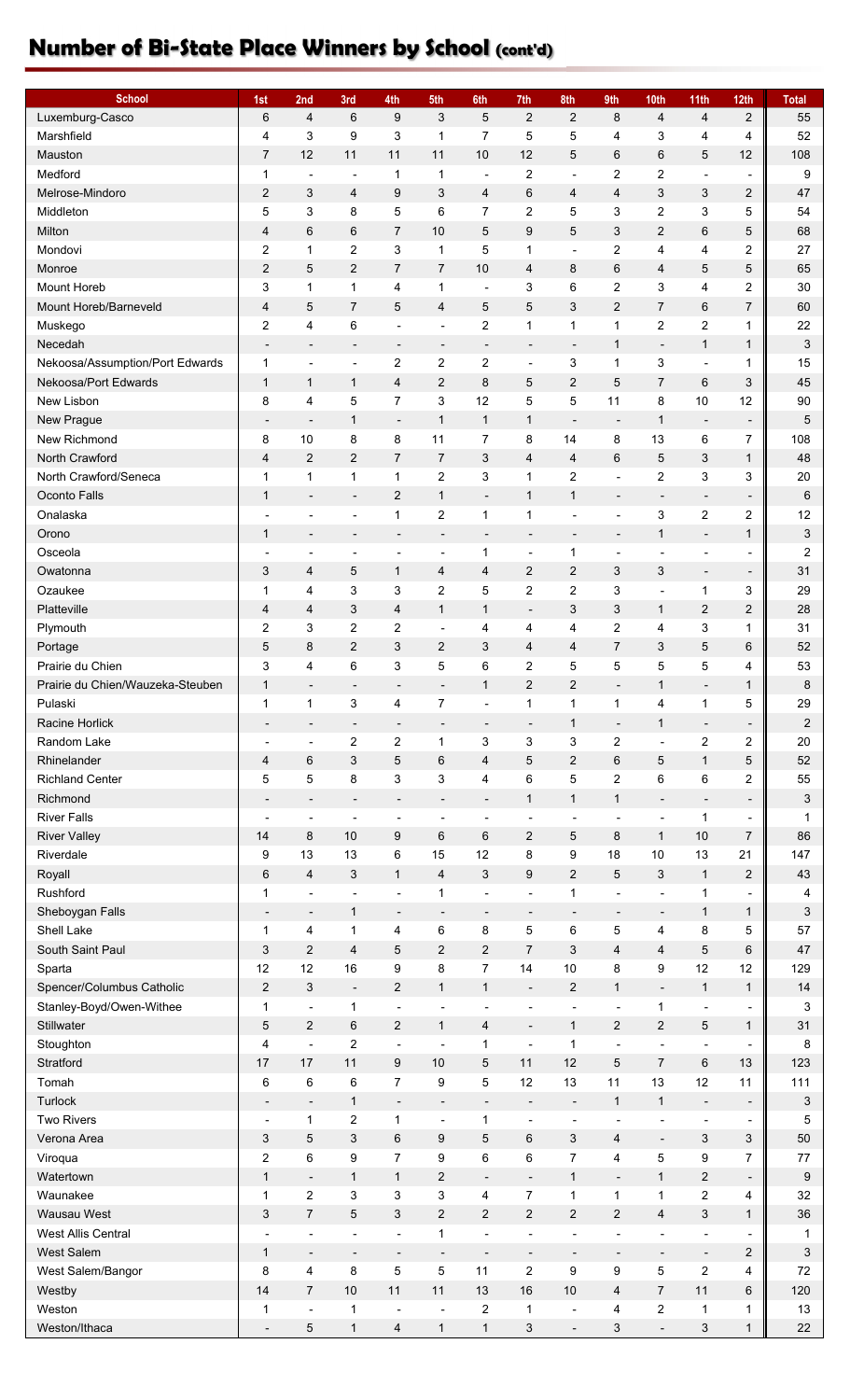## **Number of Bi-State Place Winners by School (cont'd)**

| <b>School</b>                    | 1st                      | 2nd                          | 3rd                      | 4th                      | 5th                          | 6th                      | 7th                      | 8th                      | 9th                      | 10th                     | 11th                         | 12 <sub>th</sub>         | <b>Total</b>              |
|----------------------------------|--------------------------|------------------------------|--------------------------|--------------------------|------------------------------|--------------------------|--------------------------|--------------------------|--------------------------|--------------------------|------------------------------|--------------------------|---------------------------|
| Luxemburg-Casco                  | 6                        | $\overline{\mathbf{4}}$      | 6                        | 9                        | 3                            | 5                        | $\overline{2}$           | $\overline{2}$           | 8                        | 4                        | $\overline{4}$               | $\overline{c}$           | 55                        |
| Marshfield                       | 4                        | 3                            | 9                        | 3                        | 1                            | $\overline{7}$           | 5                        | 5                        | 4                        | 3                        | 4                            | 4                        | 52                        |
| Mauston                          | $\overline{7}$           | 12                           | 11                       | 11                       | 11                           | 10                       | 12                       | 5                        | 6                        | 6                        | $\mathbf 5$                  | 12                       | 108                       |
| Medford                          | 1                        | $\overline{\phantom{a}}$     | $\overline{\phantom{a}}$ | $\mathbf 1$              | 1                            | $\blacksquare$           | $\overline{c}$           | ÷,                       | $\overline{c}$           | $\overline{2}$           | $\blacksquare$               | $\overline{\phantom{a}}$ | 9                         |
| Melrose-Mindoro                  | $\overline{c}$           | 3                            | 4                        | 9                        | 3                            | 4                        | 6                        | 4                        | 4                        | $\sqrt{3}$               | 3                            | 2                        | 47                        |
| Middleton                        | 5                        | 3                            | 8                        | 5                        | 6                            | 7                        | $\overline{c}$           | 5                        | 3                        | $\boldsymbol{2}$         | 3                            | 5                        | 54                        |
| Milton                           | 4                        | $\,6$                        | 6                        | $\overline{7}$           | 10                           | 5                        | 9                        | 5                        | 3                        | $\overline{2}$           | 6                            | 5                        | 68                        |
| Mondovi                          | 2                        | $\mathbf 1$                  | 2                        | 3                        | 1                            | 5                        | 1                        | $\blacksquare$           | $\overline{c}$           | 4                        | 4                            | $\boldsymbol{2}$         | 27                        |
| Monroe                           | $\sqrt{2}$               | 5                            | $\boldsymbol{2}$         | $\overline{7}$           | 7                            | 10                       | $\overline{4}$           | 8                        | $\,6$                    | 4                        | 5                            | 5                        | 65                        |
| <b>Mount Horeb</b>               | 3                        | 1                            | 1                        | 4                        | 1                            | $\blacksquare$           | 3                        | 6                        | $\overline{\mathbf{c}}$  | 3                        | 4                            | $\boldsymbol{2}$         | 30                        |
| Mount Horeb/Barneveld            | 4                        | 5                            | $\overline{7}$           | 5                        | $\overline{4}$               | 5                        | 5                        | 3                        | $\overline{2}$           | $\overline{7}$           | 6                            | 7                        | 60                        |
| Muskego                          | 2                        | 4                            | 6                        | $\overline{\phantom{a}}$ | $\overline{\phantom{a}}$     | 2                        | $\mathbf 1$              | 1                        | 1                        | $\boldsymbol{2}$         | 2                            | 1                        | 22                        |
| Necedah                          | $\overline{\phantom{a}}$ | $\blacksquare$               | $\overline{\phantom{a}}$ | $\overline{\phantom{a}}$ | $\overline{\phantom{a}}$     | $\overline{\phantom{a}}$ | $\overline{\phantom{a}}$ | $\overline{\phantom{a}}$ | $\mathbf{1}$             | $\overline{\phantom{a}}$ | 1                            | $\mathbf{1}$             | 3                         |
| Nekoosa/Assumption/Port Edwards  | 1                        | $\overline{\phantom{a}}$     | $\blacksquare$           | 2                        | 2                            | 2                        | ÷,                       | 3                        | $\mathbf 1$              | 3                        | $\overline{\phantom{a}}$     | 1                        | 15                        |
| Nekoosa/Port Edwards             | $\mathbf{1}$             | $\mathbf{1}$                 | $\mathbf{1}$             | $\overline{4}$           | $\overline{2}$               | 8                        | 5                        | $\overline{2}$           | 5                        | $\overline{7}$           | 6                            | 3                        | 45                        |
| New Lisbon                       | 8                        | 4                            | 5                        | $\overline{7}$           | 3                            | 12                       | 5                        | 5                        | 11                       | 8                        | $10$                         | 12                       | 90                        |
| New Prague                       | $\overline{\phantom{a}}$ | $\overline{a}$               | $\mathbf{1}$             | $\overline{\phantom{a}}$ | $\mathbf{1}$                 | $\mathbf{1}$             | $\mathbf{1}$             | $\overline{\phantom{a}}$ | $\overline{\phantom{a}}$ | $\mathbf 1$              | $\overline{\phantom{a}}$     | $\overline{\phantom{a}}$ | 5                         |
| New Richmond                     | 8                        | 10                           | 8                        | 8                        | 11                           | $\overline{7}$           | 8                        | 14                       | 8                        | 13                       | 6                            | $\overline{7}$           | 108                       |
| North Crawford                   | 4                        | $\boldsymbol{2}$             | $\overline{2}$           | $\overline{7}$           | 7                            | 3                        | $\overline{4}$           | 4                        | 6                        | 5                        | 3                            | 1                        | 48                        |
| North Crawford/Seneca            | $\mathbf 1$              | $\mathbf{1}$                 | $\mathbf{1}$             | $\mathbf{1}$             | $\overline{\mathbf{c}}$      | 3                        | $\mathbf{1}$             | $\overline{\mathbf{c}}$  | $\blacksquare$           | $\overline{c}$           | 3                            | 3                        | 20                        |
| Oconto Falls                     | $\mathbf{1}$             | $\overline{\phantom{a}}$     | $\overline{\phantom{a}}$ | $\overline{c}$           | $\mathbf{1}$                 | $\overline{\phantom{a}}$ | $\mathbf{1}$             | $\mathbf{1}$             | $\overline{\phantom{a}}$ | $\overline{\phantom{a}}$ | $\qquad \qquad \blacksquare$ | $\overline{\phantom{a}}$ | $6\phantom{1}6$           |
| Onalaska                         | ÷,                       | $\blacksquare$               | $\overline{\phantom{a}}$ | $\mathbf{1}$             | $\overline{c}$               | $\mathbf{1}$             | $\mathbf{1}$             | ÷,                       | $\overline{\phantom{a}}$ | 3                        | $\overline{c}$               | $\boldsymbol{2}$         | 12                        |
| Orono                            | $\mathbf{1}$             | $\overline{a}$               | -                        |                          | $\qquad \qquad \blacksquare$ | $\overline{\phantom{a}}$ | $\overline{a}$           | $\overline{a}$           | $\overline{a}$           | $\mathbf 1$              | $\overline{\phantom{a}}$     | $\mathbf{1}$             | 3                         |
| Osceola                          |                          | $\overline{\phantom{a}}$     | ٠                        | $\blacksquare$           | $\overline{\phantom{a}}$     | $\mathbf{1}$             | ÷,                       | 1                        | $\blacksquare$           | $\overline{\phantom{a}}$ | ٠                            | $\overline{\phantom{a}}$ | $\overline{c}$            |
| Owatonna                         | 3                        | 4                            | 5                        | $\mathbf{1}$             | 4                            | 4                        | $\overline{c}$           | 2                        | 3                        | 3                        |                              |                          | 31                        |
| Ozaukee                          | 1                        | 4                            | 3                        | 3                        | $\overline{c}$               | 5                        | $\overline{c}$           | $\mathbf 2$              | 3                        | $\blacksquare$           | -<br>1                       | -<br>3                   | 29                        |
| Platteville                      |                          |                              | 3                        |                          |                              |                          |                          |                          | 3                        |                          |                              |                          | 28                        |
|                                  | 4                        | 4                            |                          | 4                        | $\mathbf{1}$                 | $\mathbf{1}$             | $\overline{a}$           | 3                        |                          | $\mathbf{1}$             | $\overline{c}$               | $\overline{\mathbf{c}}$  | 31                        |
| Plymouth                         | 2                        | 3                            | 2                        | 2                        | $\blacksquare$               | 4                        | 4                        | 4                        | $\overline{c}$           | 4                        | 3                            | 1                        |                           |
| Portage                          | 5                        | 8                            | $\overline{2}$           | 3                        | $\overline{\mathbf{c}}$      | 3                        | 4                        | 4                        | $\overline{7}$           | 3                        | 5                            | 6                        | 52                        |
| Prairie du Chien                 | 3                        | 4                            | 6                        | 3                        | 5                            | 6                        | $\overline{2}$           | 5                        | 5                        | $\mathbf 5$              | $\mathbf 5$                  | 4                        | 53                        |
| Prairie du Chien/Wauzeka-Steuben | $\mathbf{1}$             | $\overline{\phantom{a}}$     | $\overline{\phantom{a}}$ | $\overline{\phantom{a}}$ | $\overline{\phantom{a}}$     | $\mathbf{1}$             | $\overline{2}$           | $\overline{2}$           | $\overline{\phantom{a}}$ | $\mathbf 1$              | $\overline{\phantom{a}}$     | 1                        | 8                         |
| Pulaski                          | $\mathbf{1}$             | $\mathbf{1}$                 | 3                        | 4                        | $\overline{7}$               | $\blacksquare$           | $\mathbf{1}$             | 1                        | $\mathbf{1}$             | 4                        | 1                            | 5                        | 29                        |
| Racine Horlick                   |                          |                              | $\overline{\phantom{a}}$ |                          |                              |                          |                          | 1                        | $\overline{\phantom{a}}$ | $\mathbf 1$              | -                            | -                        | $\overline{\mathbf{c}}$   |
| Random Lake                      |                          | $\overline{\phantom{a}}$     | $\overline{c}$           | $\boldsymbol{2}$         | $\mathbf{1}$                 | 3                        | 3                        | 3                        | $\mathbf 2$              | $\overline{a}$           | $\overline{\mathbf{c}}$      | $\overline{\mathbf{c}}$  | 20                        |
| Rhinelander                      | 4                        | 6                            | 3                        | 5                        | 6                            | 4                        | 5                        | $\overline{2}$           | $\,6$                    | 5                        | $\mathbf{1}$                 | 5                        | 52                        |
| <b>Richland Center</b>           | $\mathbf 5$              | $\mathbf 5$                  | 8                        | 3                        | 3                            | 4                        | 6                        | 5                        | $\overline{\mathbf{c}}$  | 6                        | 6                            | 2                        | 55                        |
| Richmond                         | $\overline{\phantom{a}}$ | $\overline{\phantom{a}}$     | $\overline{\phantom{a}}$ | $\overline{\phantom{a}}$ | $\overline{\phantom{a}}$     | $\overline{\phantom{a}}$ | $\mathbf{1}$             | $\mathbf{1}$             | $\mathbf{1}$             | $\overline{\phantom{a}}$ | $\overline{\phantom{a}}$     | $\overline{\phantom{a}}$ | 3                         |
| <b>River Falls</b>               | $\blacksquare$           | $\blacksquare$               | ٠                        | $\blacksquare$           | $\overline{\phantom{a}}$     | $\overline{\phantom{a}}$ | $\blacksquare$           | $\overline{\phantom{a}}$ | $\blacksquare$           | $\overline{\phantom{0}}$ | 1                            | $\overline{\phantom{a}}$ | 1                         |
| <b>River Valley</b>              | 14                       | 8                            | 10                       | 9                        | 6                            | 6                        | $\overline{2}$           | 5                        | 8                        | $\mathbf{1}$             | 10                           | 7                        | 86                        |
| Riverdale                        | 9                        | 13                           | 13                       | 6                        | 15                           | 12                       | 8                        | 9                        | 18                       | $10$                     | 13                           | 21                       | 147                       |
| Royall                           | 6                        | $\overline{\mathbf{4}}$      | 3                        | $\mathbf{1}$             | $\overline{4}$               | 3                        | 9                        | $\mathbf{2}$             | 5                        | 3                        | $\overline{1}$               | $\overline{\mathbf{c}}$  | 43                        |
| Rushford                         | 1                        | $\overline{a}$               | $\overline{\phantom{a}}$ | $\blacksquare$           | $\mathbf{1}$                 | $\blacksquare$           | $\blacksquare$           | 1                        | $\overline{\phantom{a}}$ | $\overline{\phantom{0}}$ | 1                            | $\blacksquare$           | 4                         |
| Sheboygan Falls                  | $\overline{\phantom{a}}$ | $\qquad \qquad \blacksquare$ | $\mathbf{1}$             | $\overline{\phantom{a}}$ | $\qquad \qquad \blacksquare$ | $\overline{\phantom{a}}$ | $\overline{\phantom{a}}$ | $\overline{\phantom{a}}$ | $\overline{\phantom{a}}$ |                          | $\mathbf{1}$                 | $\mathbf{1}$             | $\ensuremath{\mathsf{3}}$ |
| Shell Lake                       | 1                        | 4                            | $\mathbf{1}$             | 4                        | 6                            | 8                        | $\mathbf 5$              | 6                        | 5                        | 4                        | $\,8\,$                      | 5                        | 57                        |
| South Saint Paul                 | 3                        | $\sqrt{2}$                   | 4                        | 5                        | $\mathbf{2}$                 | $\overline{2}$           | $\overline{7}$           | 3                        | $\overline{\mathbf{4}}$  | 4                        | 5                            | 6                        | 47                        |
| Sparta                           | 12                       | 12                           | 16                       | 9                        | 8                            | $\boldsymbol{7}$         | 14                       | 10                       | 8                        | 9                        | 12                           | 12                       | 129                       |
| Spencer/Columbus Catholic        | $\sqrt{2}$               | $\ensuremath{\mathsf{3}}$    | $\overline{\phantom{a}}$ | $\overline{c}$           | $\mathbf{1}$                 | $\mathbf{1}$             | $\blacksquare$           | $\overline{c}$           | $\mathbf{1}$             | $\overline{\phantom{a}}$ | $\mathbf{1}$                 | $\mathbf{1}$             | 14                        |
| Stanley-Boyd/Owen-Withee         | 1                        | $\overline{\phantom{a}}$     | $\mathbf{1}$             | $\blacksquare$           | $\overline{\phantom{a}}$     | ÷,                       | $\overline{a}$           | $\blacksquare$           | $\blacksquare$           | 1                        | $\overline{\phantom{a}}$     | $\overline{a}$           | 3                         |
| Stillwater                       | $\mathbf 5$              | $\overline{c}$               | 6                        | $\overline{c}$           | $\mathbf{1}$                 | 4                        | $\overline{\phantom{a}}$ | $\mathbf{1}$             | $\overline{\mathbf{c}}$  | $\sqrt{2}$               | 5                            | $\mathbf{1}$             | 31                        |
| Stoughton                        | 4                        | ÷,                           | $\overline{c}$           | $\blacksquare$           | $\overline{\phantom{a}}$     | $\mathbf{1}$             | L,                       | $\mathbf 1$              | ÷,                       | $\blacksquare$           | ٠                            | $\overline{a}$           | 8                         |
| Stratford                        | 17                       | 17                           | 11                       | 9                        | 10                           | 5                        | 11                       | 12                       | $\mathbf 5$              | $\overline{7}$           | 6                            | 13                       | 123                       |
| Tomah                            | $\,6$                    | 6                            | $\,6$                    | $\overline{7}$           | 9                            | 5                        | 12                       | 13                       | 11                       | 13                       | 12                           | 11                       | 111                       |
| Turlock                          | $\overline{\phantom{a}}$ | $\overline{\phantom{a}}$     | $\mathbf{1}$             | $\overline{\phantom{a}}$ | $\qquad \qquad \blacksquare$ | $\overline{\phantom{a}}$ | $\overline{\phantom{a}}$ | $\overline{\phantom{a}}$ | $\mathbf{1}$             | $\mathbf{1}$             | $\overline{\phantom{a}}$     | $\overline{\phantom{a}}$ | 3                         |
| <b>Two Rivers</b>                | $\overline{\phantom{a}}$ | $\mathbf 1$                  | $\boldsymbol{2}$         | 1                        | $\overline{\phantom{a}}$     | 1                        | ÷,                       | $\overline{\phantom{a}}$ | $\blacksquare$           | $\overline{\phantom{0}}$ | $\overline{a}$               | $\overline{\phantom{a}}$ | 5                         |
| Verona Area                      | 3                        | $\mathbf 5$                  | 3                        | 6                        | 9                            | 5                        | 6                        | 3                        | 4                        | $\overline{\phantom{a}}$ | 3                            | 3                        | 50                        |
| Viroqua                          | $\boldsymbol{2}$         | 6                            | 9                        | $\overline{7}$           | 9                            | 6                        | 6                        | $\overline{7}$           | 4                        | $\mathbf 5$              | 9                            | 7                        | 77                        |
| Watertown                        | $\mathbf{1}$             | $\overline{\phantom{a}}$     | $\mathbf{1}$             | $\mathbf{1}$             | $\overline{c}$               | $\overline{\phantom{a}}$ | $\blacksquare$           | $\mathbf{1}$             | $\overline{\phantom{a}}$ | $\mathbf{1}$             | $\overline{\mathbf{c}}$      | -                        | 9                         |
| Waunakee                         | 1                        | $\sqrt{2}$                   | 3                        | 3                        | 3                            | 4                        | $\boldsymbol{7}$         | 1                        | $\mathbf 1$              | 1                        | $\overline{\mathbf{c}}$      | 4                        | 32                        |
| Wausau West                      | 3                        | $\overline{7}$               | 5                        | 3                        | $\mathbf{2}$                 | $\overline{c}$           | $\mathbf{2}$             | $\mathbf{2}$             | $\sqrt{2}$               | 4                        | 3                            | $\mathbf{1}$             | 36                        |
| West Allis Central               | $\overline{\phantom{a}}$ | $\overline{\phantom{a}}$     | $\overline{a}$           | $\overline{a}$           | 1                            | ÷,                       | $\blacksquare$           | $\overline{\phantom{a}}$ | $\overline{\phantom{a}}$ | ٠                        | $\overline{\phantom{a}}$     | $\overline{a}$           | 1                         |
| West Salem                       | $\mathbf{1}$             | $\overline{\phantom{a}}$     | $\overline{\phantom{a}}$ | $\overline{\phantom{a}}$ | $\overline{\phantom{a}}$     | $\overline{\phantom{a}}$ | $\overline{\phantom{a}}$ | $\overline{\phantom{a}}$ | $\overline{\phantom{a}}$ | $\overline{\phantom{a}}$ | $\overline{\phantom{a}}$     | 2                        | $\ensuremath{\mathsf{3}}$ |
| West Salem/Bangor                | 8                        | 4                            | 8                        | 5                        | 5                            | 11                       | $\boldsymbol{2}$         | 9                        | 9                        | $\mathbf 5$              | $\overline{c}$               | 4                        | 72                        |
| Westby                           | 14                       | $\overline{7}$               | $10$                     | 11                       | 11                           | 13                       | 16                       | 10                       | 4                        | $\overline{7}$           | 11                           | 6                        | 120                       |
| Weston                           | 1                        | $\overline{a}$               | 1                        |                          |                              | 2                        | $\mathbf{1}$             | ÷,                       | 4                        | 2                        | 1                            | 1                        | 13                        |
| Weston/Ithaca                    |                          | 5                            | $\mathbf{1}$             | $\overline{4}$           | $\mathbf{1}$                 | $\mathbf{1}$             | 3                        | ÷,                       | 3                        | $\overline{\phantom{a}}$ | 3                            | $\mathbf{1}$             | 22                        |
|                                  |                          |                              |                          |                          |                              |                          |                          |                          |                          |                          |                              |                          |                           |